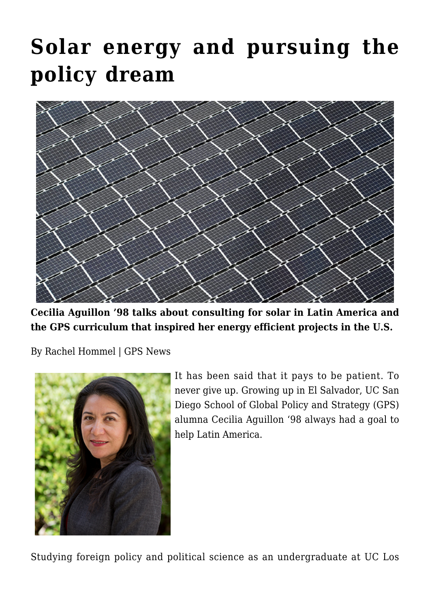## **[Solar energy and pursuing the](https://gpsnews.ucsd.edu/solar-energy-and-pursuing-the-policy-dream/) [policy dream](https://gpsnews.ucsd.edu/solar-energy-and-pursuing-the-policy-dream/)**



**Cecilia Aguillon '98 talks about consulting for solar in Latin America and the GPS curriculum that inspired her energy efficient projects in the U.S.**

By Rachel Hommel | GPS News



It has been said that it pays to be patient. To never give up. Growing up in El Salvador, UC San Diego School of Global Policy and Strategy (GPS) alumna Cecilia Aguillon '98 always had a goal to help Latin America.

Studying foreign policy and political science as an undergraduate at UC Los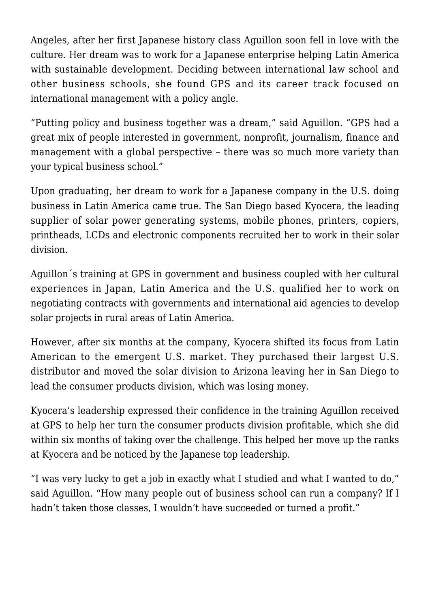Angeles, after her first Japanese history class Aguillon soon fell in love with the culture. Her dream was to work for a Japanese enterprise helping Latin America with sustainable development. Deciding between international law school and other business schools, she found GPS and its career track focused on international management with a policy angle.

"Putting policy and business together was a dream," said Aguillon. "GPS had a great mix of people interested in government, nonprofit, journalism, finance and management with a global perspective – there was so much more variety than your typical business school."

Upon graduating, her dream to work for a Japanese company in the U.S. doing business in Latin America came true. The San Diego based Kyocera, the leading supplier of solar power generating systems, mobile phones, printers, copiers, printheads, LCDs and electronic components recruited her to work in their solar division.

Aguillon´s training at GPS in government and business coupled with her cultural experiences in Japan, Latin America and the U.S. qualified her to work on negotiating contracts with governments and international aid agencies to develop solar projects in rural areas of Latin America.

However, after six months at the company, Kyocera shifted its focus from Latin American to the emergent U.S. market. They purchased their largest U.S. distributor and moved the solar division to Arizona leaving her in San Diego to lead the consumer products division, which was losing money.

Kyocera's leadership expressed their confidence in the training Aguillon received at GPS to help her turn the consumer products division profitable, which she did within six months of taking over the challenge. This helped her move up the ranks at Kyocera and be noticed by the Japanese top leadership.

"I was very lucky to get a job in exactly what I studied and what I wanted to do," said Aguillon. "How many people out of business school can run a company? If I hadn't taken those classes, I wouldn't have succeeded or turned a profit."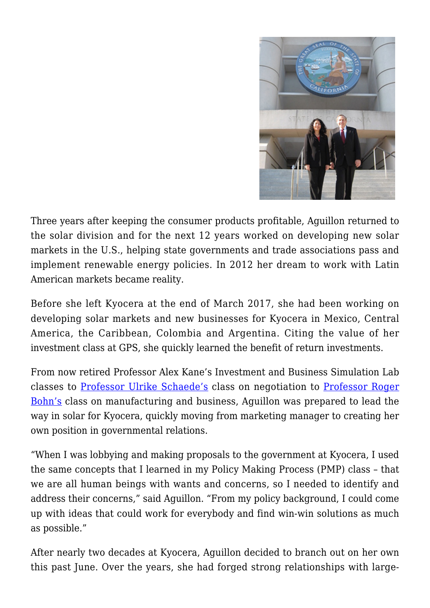

Three years after keeping the consumer products profitable, Aguillon returned to the solar division and for the next 12 years worked on developing new solar markets in the U.S., helping state governments and trade associations pass and implement renewable energy policies. In 2012 her dream to work with Latin American markets became reality.

Before she left Kyocera at the end of March 2017, she had been working on developing solar markets and new businesses for Kyocera in Mexico, Central America, the Caribbean, Colombia and Argentina. Citing the value of her investment class at GPS, she quickly learned the benefit of return investments.

From now retired Professor Alex Kane's Investment and Business Simulation Lab classes to [Professor Ulrike Schaede's](https://gps.ucsd.edu/faculty-directory/ulrike-schaede.html) class on negotiation to [Professor Roger](https://gps.ucsd.edu/faculty-directory/roger-bohn.html) [Bohn's](https://gps.ucsd.edu/faculty-directory/roger-bohn.html) class on manufacturing and business, Aguillon was prepared to lead the way in solar for Kyocera, quickly moving from marketing manager to creating her own position in governmental relations.

"When I was lobbying and making proposals to the government at Kyocera, I used the same concepts that I learned in my Policy Making Process (PMP) class – that we are all human beings with wants and concerns, so I needed to identify and address their concerns," said Aguillon. "From my policy background, I could come up with ideas that could work for everybody and find win-win solutions as much as possible."

After nearly two decades at Kyocera, Aguillon decided to branch out on her own this past June. Over the years, she had forged strong relationships with large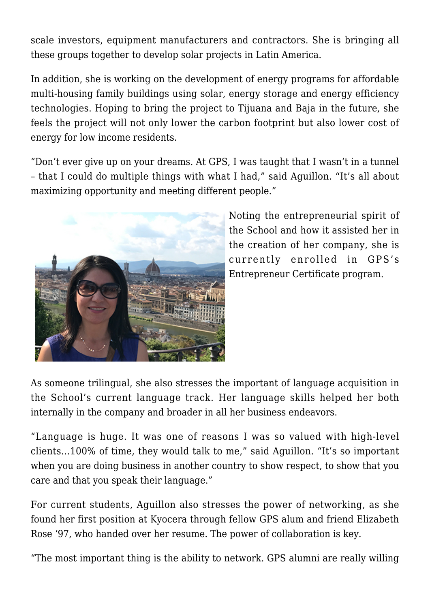scale investors, equipment manufacturers and contractors. She is bringing all these groups together to develop solar projects in Latin America.

In addition, she is working on the development of energy programs for affordable multi-housing family buildings using solar, energy storage and energy efficiency technologies. Hoping to bring the project to Tijuana and Baja in the future, she feels the project will not only lower the carbon footprint but also lower cost of energy for low income residents.

"Don't ever give up on your dreams. At GPS, I was taught that I wasn't in a tunnel – that I could do multiple things with what I had," said Aguillon. "It's all about maximizing opportunity and meeting different people."



Noting the entrepreneurial spirit of the School and how it assisted her in the creation of her company, she is currently enrolled in GPS's Entrepreneur Certificate program.

As someone trilingual, she also stresses the important of language acquisition in the School's current language track. Her language skills helped her both internally in the company and broader in all her business endeavors.

"Language is huge. It was one of reasons I was so valued with high-level clients…100% of time, they would talk to me," said Aguillon. "It's so important when you are doing business in another country to show respect, to show that you care and that you speak their language."

For current students, Aguillon also stresses the power of networking, as she found her first position at Kyocera through fellow GPS alum and friend Elizabeth Rose '97, who handed over her resume. The power of collaboration is key.

"The most important thing is the ability to network. GPS alumni are really willing